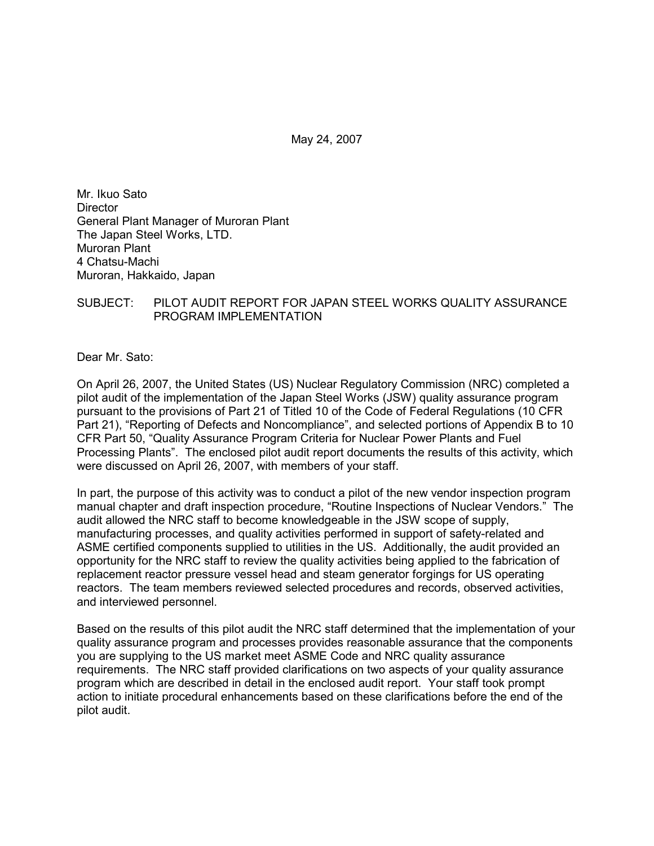May 24, 2007

Mr. Ikuo Sato **Director** General Plant Manager of Muroran Plant The Japan Steel Works, LTD. Muroran Plant 4 Chatsu-Machi Muroran, Hakkaido, Japan

# SUBJECT: PILOT AUDIT REPORT FOR JAPAN STEEL WORKS QUALITY ASSURANCE PROGRAM IMPLEMENTATION

Dear Mr. Sato:

On April 26, 2007, the United States (US) Nuclear Regulatory Commission (NRC) completed a pilot audit of the implementation of the Japan Steel Works (JSW) quality assurance program pursuant to the provisions of Part 21 of Titled 10 of the Code of Federal Regulations (10 CFR Part 21), "Reporting of Defects and Noncompliance", and selected portions of Appendix B to 10 CFR Part 50, "Quality Assurance Program Criteria for Nuclear Power Plants and Fuel Processing Plants". The enclosed pilot audit report documents the results of this activity, which were discussed on April 26, 2007, with members of your staff.

In part, the purpose of this activity was to conduct a pilot of the new vendor inspection program manual chapter and draft inspection procedure, "Routine Inspections of Nuclear Vendors." The audit allowed the NRC staff to become knowledgeable in the JSW scope of supply, manufacturing processes, and quality activities performed in support of safety-related and ASME certified components supplied to utilities in the US. Additionally, the audit provided an opportunity for the NRC staff to review the quality activities being applied to the fabrication of replacement reactor pressure vessel head and steam generator forgings for US operating reactors. The team members reviewed selected procedures and records, observed activities, and interviewed personnel.

Based on the results of this pilot audit the NRC staff determined that the implementation of your quality assurance program and processes provides reasonable assurance that the components you are supplying to the US market meet ASME Code and NRC quality assurance requirements. The NRC staff provided clarifications on two aspects of your quality assurance program which are described in detail in the enclosed audit report. Your staff took prompt action to initiate procedural enhancements based on these clarifications before the end of the pilot audit.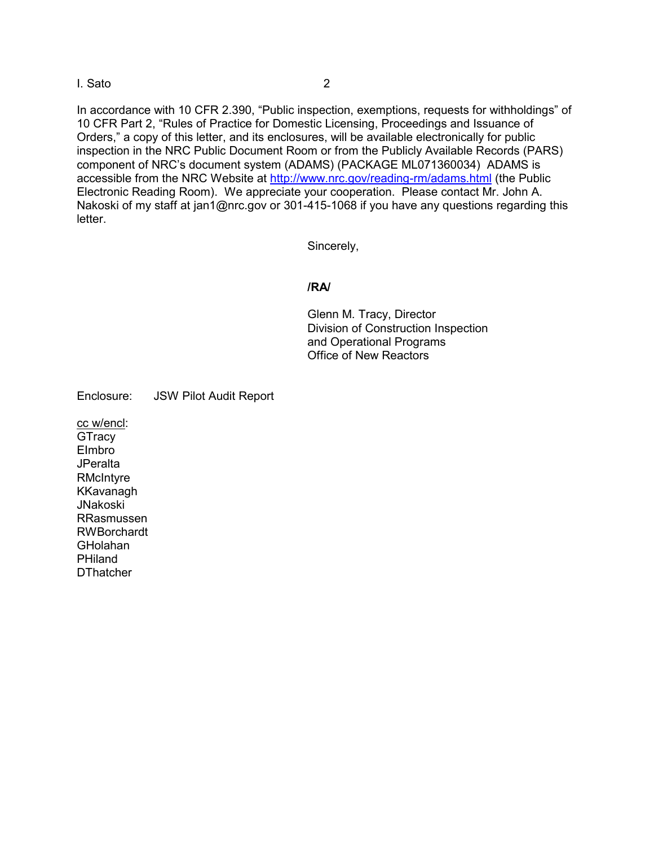## I. Sato 2

In accordance with 10 CFR 2.390, "Public inspection, exemptions, requests for withholdings" of 10 CFR Part 2, "Rules of Practice for Domestic Licensing, Proceedings and Issuance of Orders," a copy of this letter, and its enclosures, will be available electronically for public inspection in the NRC Public Document Room or from the Publicly Available Records (PARS) component of NRC's document system (ADAMS) (PACKAGE ML071360034) ADAMS is accessible from the NRC Website at http://www.nrc.gov/reading-rm/adams.html (the Public Electronic Reading Room). We appreciate your cooperation. Please contact Mr. John A. Nakoski of my staff at jan1@nrc.gov or 301-415-1068 if you have any questions regarding this letter.

Sincerely,

## **/RA/**

Glenn M. Tracy, Director Division of Construction Inspection and Operational Programs Office of New Reactors

Enclosure: JSW Pilot Audit Report

cc w/encl: **GTracy** EImbro **JPeralta RMcIntyre** KKavanagh JNakoski RRasmussen RWBorchardt GHolahan PHiland **DThatcher**